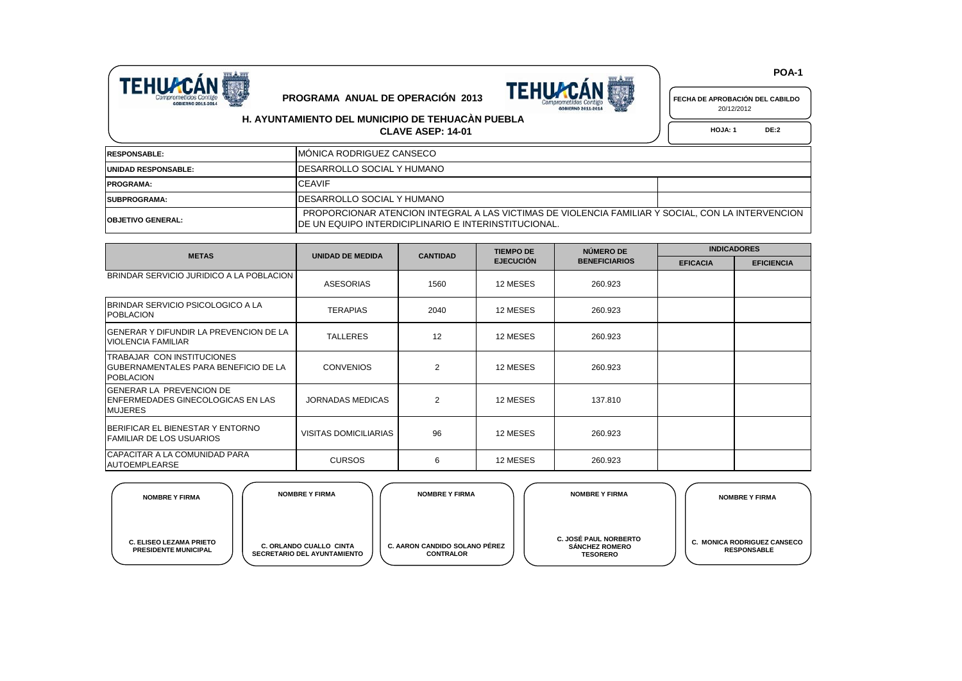



20/12/2012

## **H. AYUNTAMIENTO DEL MUNICIPIO DE TEHUACÀN PUEBLA**

**CLAVE ASEP: 14-01 HOJA:** 1 DE:2

| <b>IRESPONSABLE:</b>       | IMÓNICA RODRIGUEZ CANSECO                                                                                                                                         |  |
|----------------------------|-------------------------------------------------------------------------------------------------------------------------------------------------------------------|--|
| <b>UNIDAD RESPONSABLE:</b> | IDESARROLLO SOCIAL Y HUMANO                                                                                                                                       |  |
| <b>PROGRAMA:</b>           | <b>CEAVIF</b>                                                                                                                                                     |  |
| <b>ISUBPROGRAMA:</b>       | IDESARROLLO SOCIAL Y HUMANO                                                                                                                                       |  |
| <b>IOBJETIVO GENERAL:</b>  | PROPORCIONAR ATENCION INTEGRAL A LAS VICTIMAS DE VIOLENCIA FAMILIAR Y SOCIAL, CON LA INTERVENCION<br><u>IDE UN EQUIPO INTERDICIPLINARIO E INTERINSTITUCIONAL.</u> |  |

| <b>METAS</b>                                                                             | <b>UNIDAD DE MEDIDA</b> | <b>CANTIDAD</b> | <b>TIEMPO DE</b> | NÚMERO DE            | <b>INDICADORES</b> |                   |
|------------------------------------------------------------------------------------------|-------------------------|-----------------|------------------|----------------------|--------------------|-------------------|
|                                                                                          |                         |                 | <b>EJECUCIÓN</b> | <b>BENEFICIARIOS</b> | <b>EFICACIA</b>    | <b>EFICIENCIA</b> |
| BRINDAR SERVICIO JURIDICO A LA POBLACION                                                 | <b>ASESORIAS</b>        | 1560            | 12 MESES         | 260.923              |                    |                   |
| BRINDAR SERVICIO PSICOLOGICO A LA<br><b>POBLACION</b>                                    | <b>TERAPIAS</b>         | 2040            | 12 MESES         | 260.923              |                    |                   |
| IGENERAR Y DIFUNDIR LA PREVENCION DE LA<br><b>VIOLENCIA FAMILIAR</b>                     | <b>TALLERES</b>         | 12              | 12 MESES         | 260.923              |                    |                   |
| TRABAJAR CON INSTITUCIONES<br>IGUBERNAMENTALES PARA BENEFICIO DE LA<br><b>POBLACION</b>  | <b>CONVENIOS</b>        | $\overline{2}$  | 12 MESES         | 260.923              |                    |                   |
| IGENERAR LA PREVENCION DE<br><b>IENFERMEDADES GINECOLOGICAS EN LAS</b><br><b>MUJERES</b> | <b>JORNADAS MEDICAS</b> | $\overline{2}$  | 12 MESES         | 137.810              |                    |                   |
| BERIFICAR EL BIENESTAR Y ENTORNO<br>IFAMILIAR DE LOS USUARIOS                            | VISITAS DOMICILIARIAS   | 96              | 12 MESES         | 260.923              |                    |                   |
| <b>CAPACITAR A LA COMUNIDAD PARA</b><br><b>AUTOEMPLEARSE</b>                             | <b>CURSOS</b>           | 6               | 12 MESES         | 260.923              |                    |                   |

| <b>NOMBRE Y FIRMA</b>                                         | <b>NOMBRE Y FIRMA</b>                                                | <b>NOMBRE Y FIRMA</b>                             | <b>NOMBRE Y FIRMA</b>                                                    | <b>NOMBRE Y FIRMA</b>                                    |
|---------------------------------------------------------------|----------------------------------------------------------------------|---------------------------------------------------|--------------------------------------------------------------------------|----------------------------------------------------------|
| <b>C. ELISEO LEZAMA PRIETO</b><br><b>PRESIDENTE MUNICIPAL</b> | <b>C. ORLANDO CUALLO CINTA</b><br><b>SECRETARIO DEL AYUNTAMIENTO</b> | C. AARON CANDIDO SOLANO PÊREZ<br><b>CONTRALOR</b> | <b>C. JOSÉ PAUL NORBERTO</b><br><b>SÁNCHEZ ROMERO</b><br><b>TESORERO</b> | <b>C. MONICA RODRIGUEZ CANSECO</b><br><b>RESPONSABLE</b> |

 **POA-1**